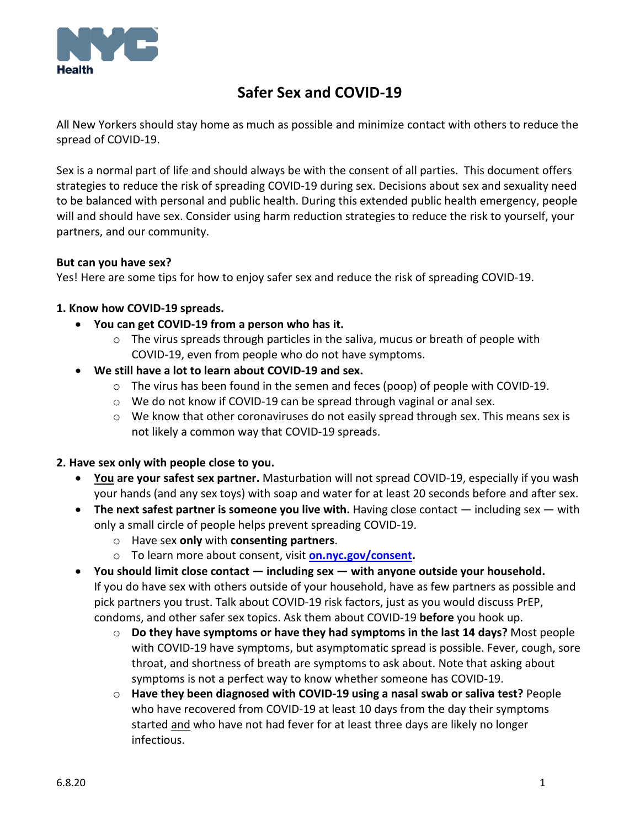

# **Safer Sex and COVID-19**

All New Yorkers should stay home as much as possible and minimize contact with others to reduce the spread of COVID-19.

Sex is a normal part of life and should always be with the consent of all parties. This document offers strategies to reduce the risk of spreading COVID-19 during sex. Decisions about sex and sexuality need to be balanced with personal and public health. During this extended public health emergency, people will and should have sex. Consider using harm reduction strategies to reduce the risk to yourself, your partners, and our community.

#### **But can you have sex?**

Yes! Here are some tips for how to enjoy safer sex and reduce the risk of spreading COVID-19.

## **1. Know how COVID-19 spreads.**

- **You can get COVID-19 from a person who has it.**
	- o The virus spreads through particles in the saliva, mucus or breath of people with COVID-19, even from people who do not have symptoms.
- **We still have a lot to learn about COVID-19 and sex.**
	- $\circ$  The virus has been found in the semen and feces (poop) of people with COVID-19.
	- o We do not know if COVID-19 can be spread through vaginal or anal sex.
	- $\circ$  We know that other coronaviruses do not easily spread through sex. This means sex is not likely a common way that COVID-19 spreads.

#### **2. Have sex only with people close to you.**

- **You are your safest sex partner.** Masturbation will not spread COVID-19, especially if you wash your hands (and any sex toys) with soap and water for at least 20 seconds before and after sex.
- **The next safest partner is someone you live with.** Having close contact including sex with only a small circle of people helps prevent spreading COVID-19.
	- o Have sex **only** with **consenting partners**.
	- o To learn more about consent, visit **[on.nyc.gov/consent.](https://on.nyc.gov/consent)**
- **You should limit close contact — including sex — with anyone outside your household.** If you do have sex with others outside of your household, have as few partners as possible and pick partners you trust. Talk about COVID-19 risk factors, just as you would discuss PrEP, condoms, and other safer sex topics. Ask them about COVID-19 **before** you hook up.
	- o **Do they have symptoms or have they had symptoms in the last 14 days?** Most people with COVID-19 have symptoms, but asymptomatic spread is possible. Fever, cough, sore throat, and shortness of breath are symptoms to ask about. Note that asking about symptoms is not a perfect way to know whether someone has COVID-19.
	- o **Have they been diagnosed with COVID-19 using a nasal swab or saliva test?** People who have recovered from COVID-19 at least 10 days from the day their symptoms started and who have not had fever for at least three days are likely no longer infectious.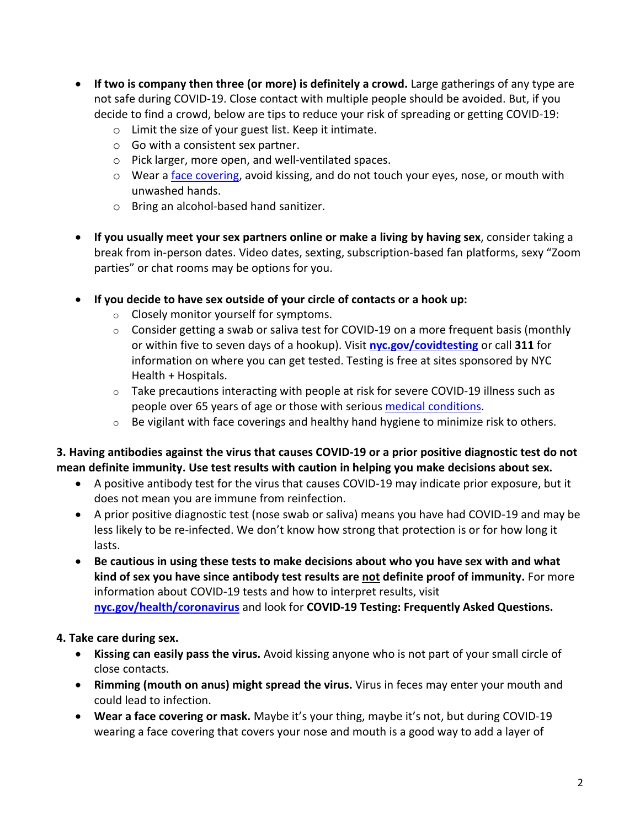- **If two is company then three (or more) is definitely a crowd.** Large gatherings of any type are not safe during COVID-19. Close contact with multiple people should be avoided. But, if you decide to find a crowd, below are tips to reduce your risk of spreading or getting COVID-19:
	- o Limit the size of your guest list. Keep it intimate.
	- o Go with a consistent sex partner.
	- o Pick larger, more open, and well-ventilated spaces.
	- o Wear a face [covering,](http://nyc.gov/facecovering) avoid kissing, and do not touch your eyes, nose, or mouth with unwashed hands.
	- o Bring an alcohol-based hand sanitizer.
- **If you usually meet your sex partners online or make a living by having sex**, consider taking a break from in-person dates. Video dates, sexting, subscription-based fan platforms, sexy "Zoom parties" or chat rooms may be options for you.
- **If you decide to have sex outside of your circle of contacts or a hook up:**
	- o Closely monitor yourself for symptoms.
	- $\circ$  Consider getting a swab or saliva test for COVID-19 on a more frequent basis (monthly or within five to seven days of a hookup). Visit **[nyc.gov/covidtesting](https://www1.nyc.gov/site/coronavirus/get-tested/covid-19-testing.page)** or call **311** for information on where you can get tested. Testing is free at sites sponsored by NYC Health + Hospitals.
	- o Take precautions interacting with people at risk for severe COVID-19 illness such as people over 65 years of age or those with serious medical [conditions.](#page-2-0)
	- $\circ$  Be vigilant with face coverings and healthy hand hygiene to minimize risk to others.

# **3. Having antibodies against the virus that causes COVID-19 or a prior positive diagnostic test do not mean definite immunity. Use test results with caution in helping you make decisions about sex.**

- A positive antibody test for the virus that causes COVID-19 may indicate prior exposure, but it does not mean you are immune from reinfection.
- A prior positive diagnostic test (nose swab or saliva) means you have had COVID-19 and may be less likely to be re-infected. We don't know how strong that protection is or for how long it lasts.
- **Be cautious in using these tests to make decisions about who you have sex with and what kind of sex you have since antibody test results are not definite proof of immunity.** For more information about COVID-19 tests and how to interpret results, visit **[nyc.gov/health/coronavirus](http://nyc.gov/health/coronavirus)** and look for **COVID-19 Testing: Frequently Asked Questions.**

## **4. Take care during sex.**

- **Kissing can easily pass the virus.** Avoid kissing anyone who is not part of your small circle of close contacts.
- **Rimming (mouth on anus) might spread the virus.** Virus in feces may enter your mouth and could lead to infection.
- **Wear a face covering or mask.** Maybe it's your thing, maybe it's not, but during COVID-19 wearing a face covering that covers your nose and mouth is a good way to add a layer of